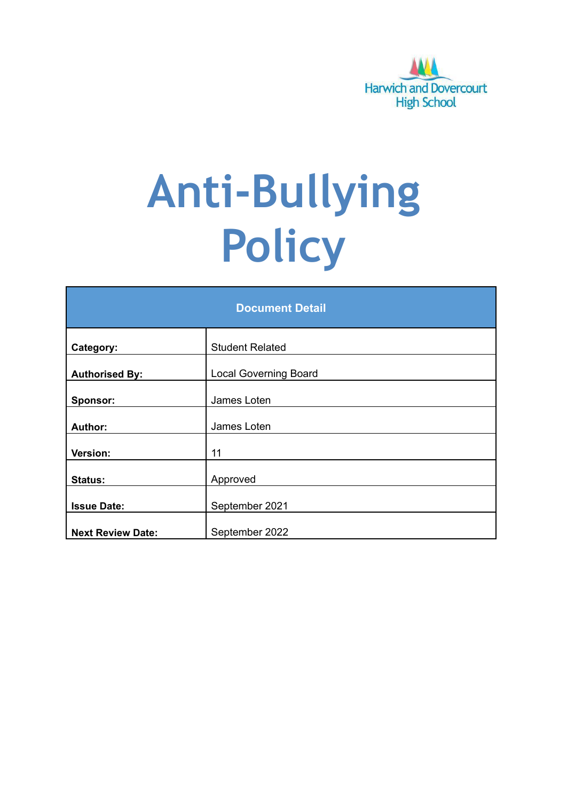

# **Anti-Bullying Policy**

| <b>Document Detail</b>   |                              |  |
|--------------------------|------------------------------|--|
| Category:                | <b>Student Related</b>       |  |
| <b>Authorised By:</b>    | <b>Local Governing Board</b> |  |
| Sponsor:                 | James Loten                  |  |
| <b>Author:</b>           | James Loten                  |  |
| Version:                 | 11                           |  |
| <b>Status:</b>           | Approved                     |  |
| <b>Issue Date:</b>       | September 2021               |  |
| <b>Next Review Date:</b> | September 2022               |  |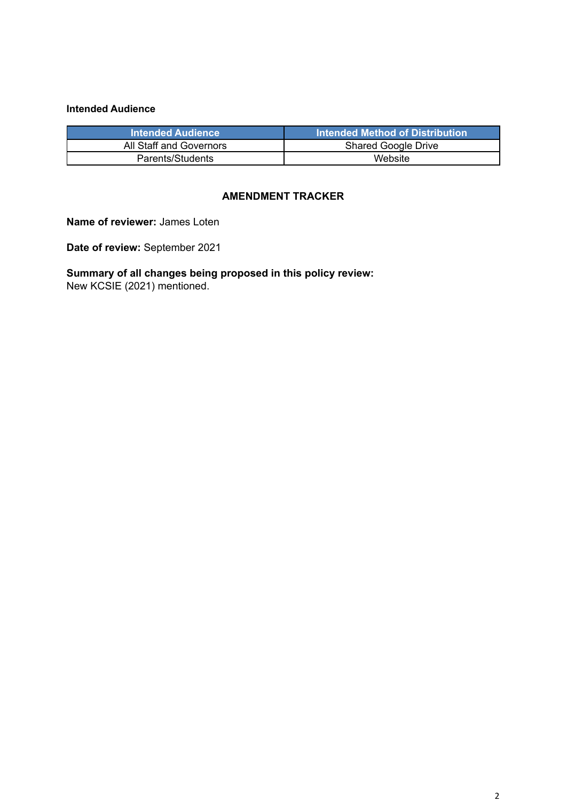#### **Intended Audience**

| <b>Intended Audience</b> | Intended Method of Distribution |
|--------------------------|---------------------------------|
| All Staff and Governors  | <b>Shared Google Drive</b>      |
| Parents/Students         | Website                         |

#### **AMENDMENT TRACKER**

**Name of reviewer:** James Loten

**Date of review:** September 2021

**Summary of all changes being proposed in this policy review:** New KCSIE (2021) mentioned.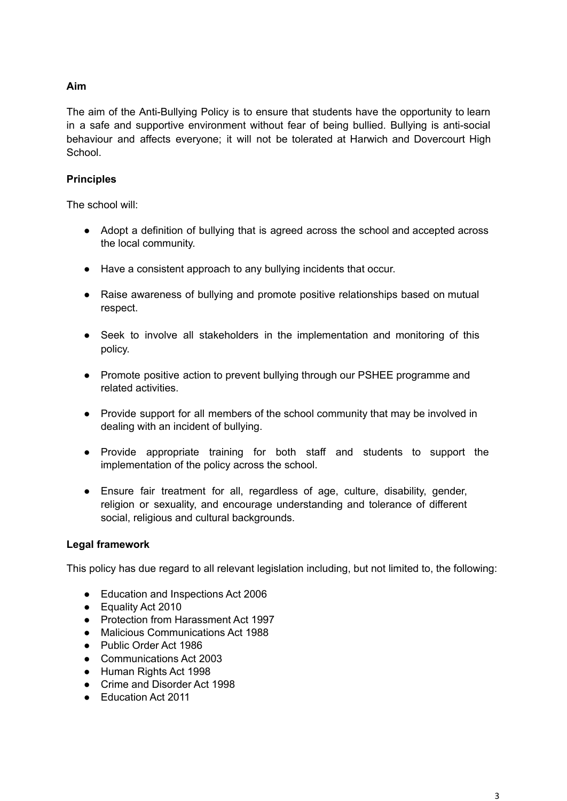## **Aim**

The aim of the Anti-Bullying Policy is to ensure that students have the opportunity to learn in a safe and supportive environment without fear of being bullied. Bullying is anti-social behaviour and affects everyone; it will not be tolerated at Harwich and Dovercourt High School.

### **Principles**

The school will:

- Adopt a definition of bullying that is agreed across the school and accepted across the local community.
- Have a consistent approach to any bullying incidents that occur.
- Raise awareness of bullying and promote positive relationships based on mutual respect.
- Seek to involve all stakeholders in the implementation and monitoring of this policy.
- Promote positive action to prevent bullying through our PSHEE programme and related activities.
- Provide support for all members of the school community that may be involved in dealing with an incident of bullying.
- Provide appropriate training for both staff and students to support the implementation of the policy across the school.
- Ensure fair treatment for all, regardless of age, culture, disability, gender, religion or sexuality, and encourage understanding and tolerance of different social, religious and cultural backgrounds.

### **Legal framework**

This policy has due regard to all relevant legislation including, but not limited to, the following:

- Education and Inspections Act 2006
- Equality Act 2010
- Protection from Harassment Act 1997
- Malicious Communications Act 1988
- Public Order Act 1986
- Communications Act 2003
- Human Rights Act 1998
- Crime and Disorder Act 1998
- Education Act 2011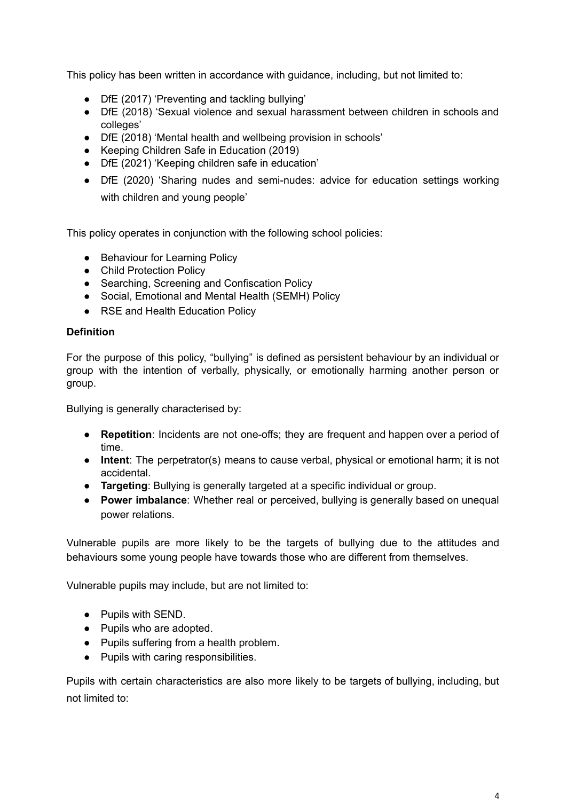This policy has been written in accordance with guidance, including, but not limited to:

- DfE (2017) 'Preventing and tackling bullying'
- DfE (2018) 'Sexual violence and sexual harassment between children in schools and colleges'
- DfE (2018) 'Mental health and wellbeing provision in schools'
- Keeping Children Safe in Education (2019)
- DfE (2021) 'Keeping children safe in education'
- DfE (2020) 'Sharing nudes and semi-nudes: advice for education settings working with children and young people'

This policy operates in conjunction with the following school policies:

- Behaviour for Learning Policy
- Child Protection Policy
- Searching, Screening and Confiscation Policy
- Social, Emotional and Mental Health (SEMH) Policy
- RSE and Health Education Policy

#### **Definition**

For the purpose of this policy, "bullying" is defined as persistent behaviour by an individual or group with the intention of verbally, physically, or emotionally harming another person or group.

Bullying is generally characterised by:

- **Repetition**: Incidents are not one-offs; they are frequent and happen over a period of time.
- **Intent**: The perpetrator(s) means to cause verbal, physical or emotional harm; it is not accidental.
- **Targeting**: Bullying is generally targeted at a specific individual or group.
- **Power imbalance**: Whether real or perceived, bullying is generally based on unequal power relations.

Vulnerable pupils are more likely to be the targets of bullying due to the attitudes and behaviours some young people have towards those who are different from themselves.

Vulnerable pupils may include, but are not limited to:

- Pupils with SEND.
- Pupils who are adopted.
- Pupils suffering from a health problem.
- Pupils with caring responsibilities.

Pupils with certain characteristics are also more likely to be targets of bullying, including, but not limited to: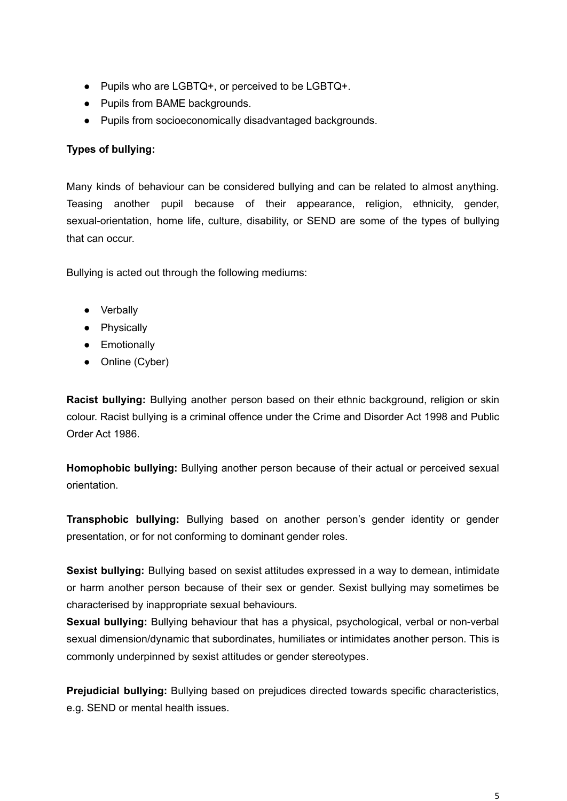- Pupils who are LGBTQ+, or perceived to be LGBTQ+.
- Pupils from BAME backgrounds.
- Pupils from socioeconomically disadvantaged backgrounds.

## **Types of bullying:**

Many kinds of behaviour can be considered bullying and can be related to almost anything. Teasing another pupil because of their appearance, religion, ethnicity, gender, sexual-orientation, home life, culture, disability, or SEND are some of the types of bullying that can occur.

Bullying is acted out through the following mediums:

- Verbally
- Physically
- **•** Emotionally
- Online (Cyber)

**Racist bullying:** Bullying another person based on their ethnic background, religion or skin colour. Racist bullying is a criminal offence under the Crime and Disorder Act 1998 and Public Order Act 1986.

**Homophobic bullying:** Bullying another person because of their actual or perceived sexual orientation.

**Transphobic bullying:** Bullying based on another person's gender identity or gender presentation, or for not conforming to dominant gender roles.

**Sexist bullying:** Bullying based on sexist attitudes expressed in a way to demean, intimidate or harm another person because of their sex or gender. Sexist bullying may sometimes be characterised by inappropriate sexual behaviours.

**Sexual bullying:** Bullying behaviour that has a physical, psychological, verbal or non-verbal sexual dimension/dynamic that subordinates, humiliates or intimidates another person. This is commonly underpinned by sexist attitudes or gender stereotypes.

**Prejudicial bullying:** Bullying based on prejudices directed towards specific characteristics, e.g. SEND or mental health issues.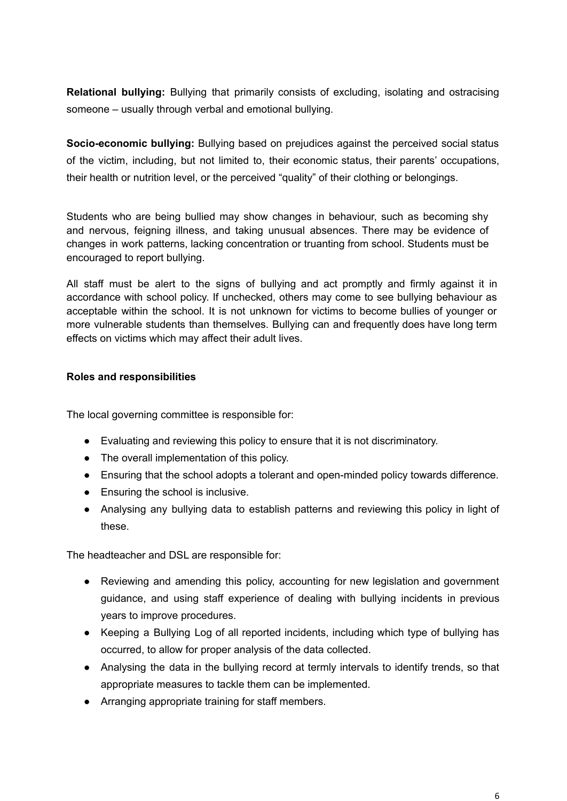**Relational bullying:** Bullying that primarily consists of excluding, isolating and ostracising someone – usually through verbal and emotional bullying.

**Socio-economic bullying:** Bullying based on prejudices against the perceived social status of the victim, including, but not limited to, their economic status, their parents' occupations, their health or nutrition level, or the perceived "quality" of their clothing or belongings.

Students who are being bullied may show changes in behaviour, such as becoming shy and nervous, feigning illness, and taking unusual absences. There may be evidence of changes in work patterns, lacking concentration or truanting from school. Students must be encouraged to report bullying.

All staff must be alert to the signs of bullying and act promptly and firmly against it in accordance with school policy. If unchecked, others may come to see bullying behaviour as acceptable within the school. It is not unknown for victims to become bullies of younger or more vulnerable students than themselves. Bullying can and frequently does have long term effects on victims which may affect their adult lives.

#### **Roles and responsibilities**

The local governing committee is responsible for:

- Evaluating and reviewing this policy to ensure that it is not discriminatory.
- The overall implementation of this policy.
- Ensuring that the school adopts a tolerant and open-minded policy towards difference.
- Ensuring the school is inclusive.
- Analysing any bullying data to establish patterns and reviewing this policy in light of these.

The headteacher and DSL are responsible for:

- Reviewing and amending this policy, accounting for new legislation and government guidance, and using staff experience of dealing with bullying incidents in previous years to improve procedures.
- Keeping a Bullying Log of all reported incidents, including which type of bullying has occurred, to allow for proper analysis of the data collected.
- Analysing the data in the bullying record at termly intervals to identify trends, so that appropriate measures to tackle them can be implemented.
- Arranging appropriate training for staff members.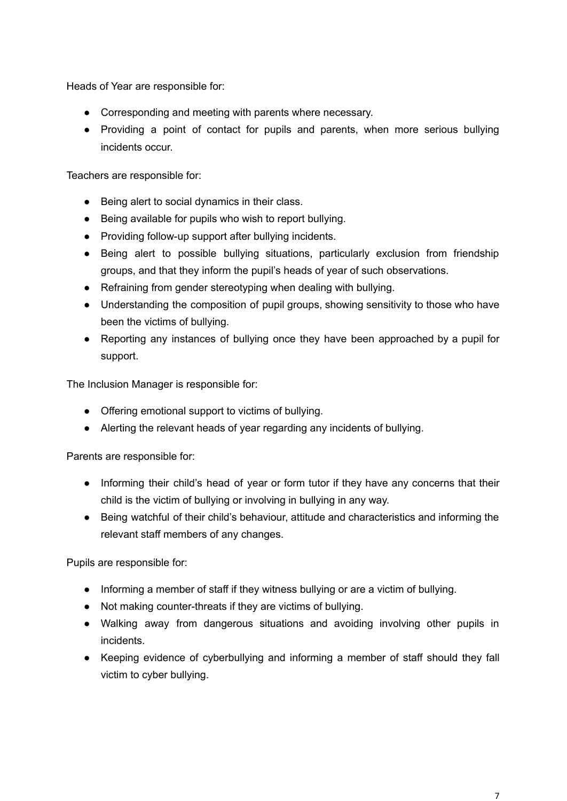Heads of Year are responsible for:

- Corresponding and meeting with parents where necessary.
- Providing a point of contact for pupils and parents, when more serious bullying incidents occur.

Teachers are responsible for:

- Being alert to social dynamics in their class.
- Being available for pupils who wish to report bullying.
- Providing follow-up support after bullying incidents.
- Being alert to possible bullying situations, particularly exclusion from friendship groups, and that they inform the pupil's heads of year of such observations.
- Refraining from gender stereotyping when dealing with bullying.
- Understanding the composition of pupil groups, showing sensitivity to those who have been the victims of bullying.
- Reporting any instances of bullying once they have been approached by a pupil for support.

The Inclusion Manager is responsible for:

- Offering emotional support to victims of bullying.
- Alerting the relevant heads of year regarding any incidents of bullying.

Parents are responsible for:

- Informing their child's head of year or form tutor if they have any concerns that their child is the victim of bullying or involving in bullying in any way.
- Being watchful of their child's behaviour, attitude and characteristics and informing the relevant staff members of any changes.

Pupils are responsible for:

- Informing a member of staff if they witness bullying or are a victim of bullying.
- Not making counter-threats if they are victims of bullying.
- Walking away from dangerous situations and avoiding involving other pupils in incidents.
- Keeping evidence of cyberbullying and informing a member of staff should they fall victim to cyber bullying.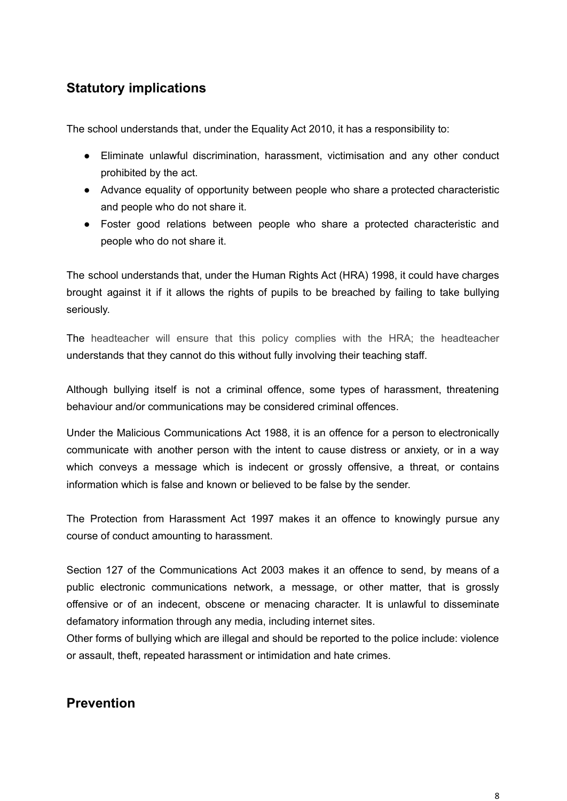## **Statutory implications**

The school understands that, under the Equality Act 2010, it has a responsibility to:

- Eliminate unlawful discrimination, harassment, victimisation and any other conduct prohibited by the act.
- Advance equality of opportunity between people who share a protected characteristic and people who do not share it.
- Foster good relations between people who share a protected characteristic and people who do not share it.

The school understands that, under the Human Rights Act (HRA) 1998, it could have charges brought against it if it allows the rights of pupils to be breached by failing to take bullying seriously.

The headteacher will ensure that this policy complies with the HRA; the headteacher understands that they cannot do this without fully involving their teaching staff.

Although bullying itself is not a criminal offence, some types of harassment, threatening behaviour and/or communications may be considered criminal offences.

Under the Malicious Communications Act 1988, it is an offence for a person to electronically communicate with another person with the intent to cause distress or anxiety, or in a way which conveys a message which is indecent or grossly offensive, a threat, or contains information which is false and known or believed to be false by the sender.

The Protection from Harassment Act 1997 makes it an offence to knowingly pursue any course of conduct amounting to harassment.

Section 127 of the Communications Act 2003 makes it an offence to send, by means of a public electronic communications network, a message, or other matter, that is grossly offensive or of an indecent, obscene or menacing character. It is unlawful to disseminate defamatory information through any media, including internet sites.

Other forms of bullying which are illegal and should be reported to the police include: violence or assault, theft, repeated harassment or intimidation and hate crimes.

## **Prevention**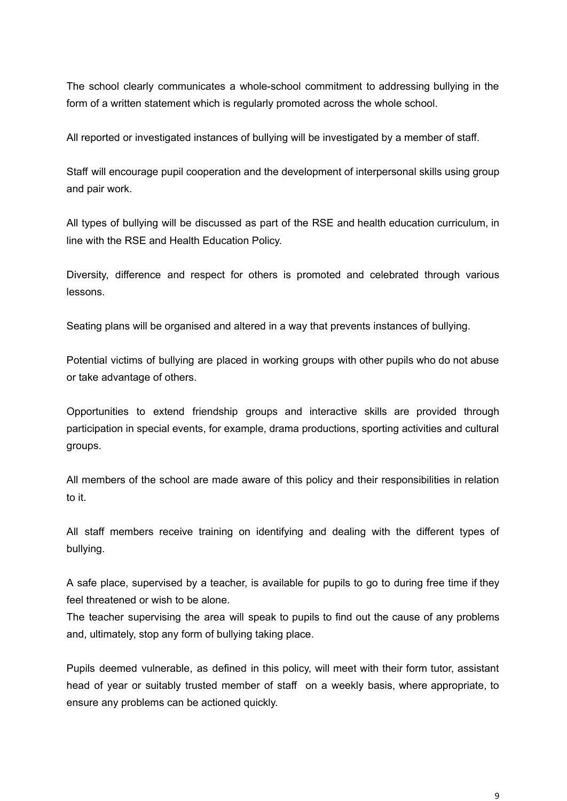The school clearly communicates a whole-school commitment to addressing bullying in the form of a written statement which is regularly promoted across the whole school.

All reported or investigated instances of bullying will be investigated by a member of staff.

Staff will encourage pupil cooperation and the development of interpersonal skills using group and pair work.

All types of bullying will be discussed as part of the RSE and health education curriculum, in line with the RSE and Health Education Policy.

Diversity, difference and respect for others is promoted and celebrated through various lessons.

Seating plans will be organised and altered in a way that prevents instances of bullying.

Potential victims of bullying are placed in working groups with other pupils who do not abuse or take advantage of others.

Opportunities to extend friendship groups and interactive skills are provided through participation in special events, for example, drama productions, sporting activities and cultural groups.

All members of the school are made aware of this policy and their responsibilities in relation to it.

All staff members receive training on identifying and dealing with the different types of bullying.

A safe place, supervised by a teacher, is available for pupils to go to during free time if they feel threatened or wish to be alone.

The teacher supervising the area will speak to pupils to find out the cause of any problems and, ultimately, stop any form of bullying taking place.

Pupils deemed vulnerable, as defined in this policy, will meet with their form tutor, assistant head of year or suitably trusted member of staff on a weekly basis, where appropriate, to ensure any problems can be actioned quickly.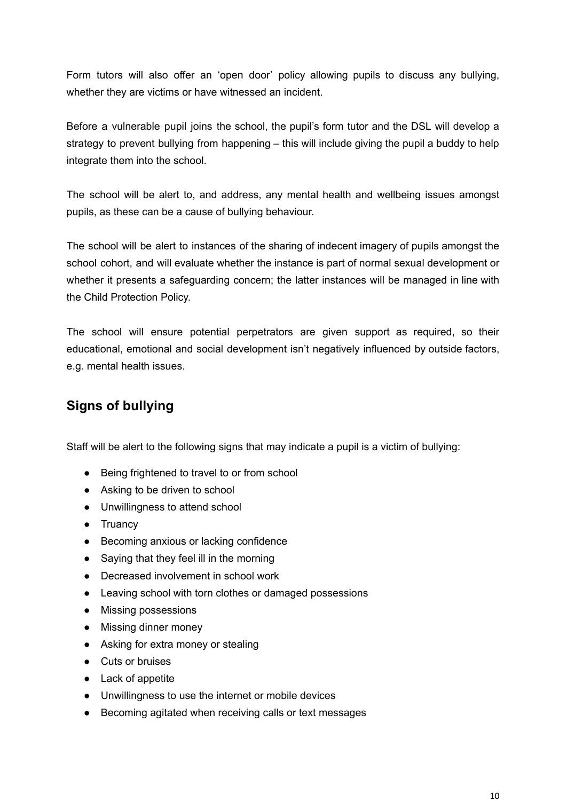Form tutors will also offer an 'open door' policy allowing pupils to discuss any bullying, whether they are victims or have witnessed an incident.

Before a vulnerable pupil joins the school, the pupil's form tutor and the DSL will develop a strategy to prevent bullying from happening – this will include giving the pupil a buddy to help integrate them into the school.

The school will be alert to, and address, any mental health and wellbeing issues amongst pupils, as these can be a cause of bullying behaviour.

The school will be alert to instances of the sharing of indecent imagery of pupils amongst the school cohort, and will evaluate whether the instance is part of normal sexual development or whether it presents a safeguarding concern; the latter instances will be managed in line with the Child Protection Policy.

The school will ensure potential perpetrators are given support as required, so their educational, emotional and social development isn't negatively influenced by outside factors, e.g. mental health issues.

# **Signs of bullying**

Staff will be alert to the following signs that may indicate a pupil is a victim of bullying:

- Being frightened to travel to or from school
- Asking to be driven to school
- Unwillingness to attend school
- Truancy
- Becoming anxious or lacking confidence
- Saving that they feel ill in the morning
- Decreased involvement in school work
- Leaving school with torn clothes or damaged possessions
- Missing possessions
- Missing dinner money
- Asking for extra money or stealing
- Cuts or bruises
- Lack of appetite
- Unwillingness to use the internet or mobile devices
- Becoming agitated when receiving calls or text messages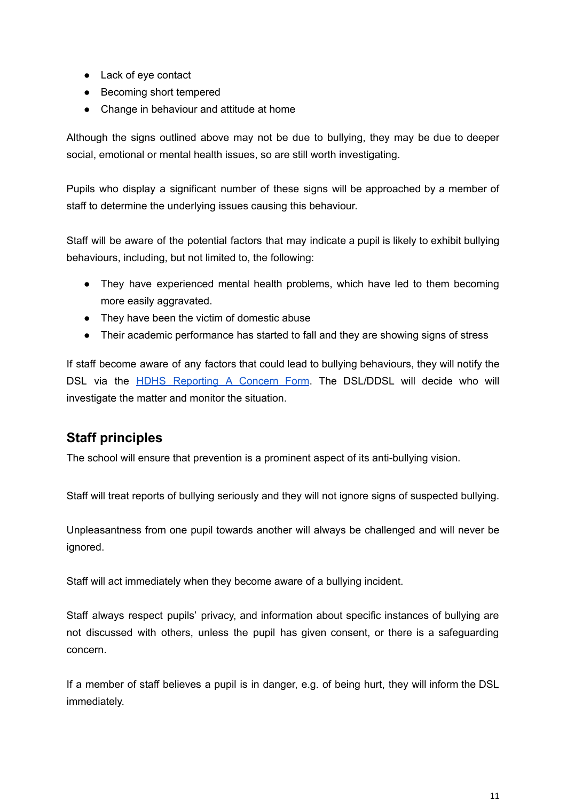- Lack of eye contact
- Becoming short tempered
- Change in behaviour and attitude at home

Although the signs outlined above may not be due to bullying, they may be due to deeper social, emotional or mental health issues, so are still worth investigating.

Pupils who display a significant number of these signs will be approached by a member of staff to determine the underlying issues causing this behaviour.

Staff will be aware of the potential factors that may indicate a pupil is likely to exhibit bullying behaviours, including, but not limited to, the following:

- They have experienced mental health problems, which have led to them becoming more easily aggravated.
- They have been the victim of domestic abuse
- Their academic performance has started to fall and they are showing signs of stress

If staff become aware of any factors that could lead to bullying behaviours, they will notify the DSL via the HDHS [Reporting](https://docs.google.com/forms/d/e/1FAIpQLSfi0jQ9UU3A1utjps6z7V2YsoKetGKLgR8NEhSChUWV-5I5ng/viewform) A Concern Form. The DSL/DDSL will decide who will investigate the matter and monitor the situation.

## **Staff principles**

The school will ensure that prevention is a prominent aspect of its anti-bullying vision.

Staff will treat reports of bullying seriously and they will not ignore signs of suspected bullying.

Unpleasantness from one pupil towards another will always be challenged and will never be ignored.

Staff will act immediately when they become aware of a bullying incident.

Staff always respect pupils' privacy, and information about specific instances of bullying are not discussed with others, unless the pupil has given consent, or there is a safeguarding concern.

If a member of staff believes a pupil is in danger, e.g. of being hurt, they will inform the DSL immediately.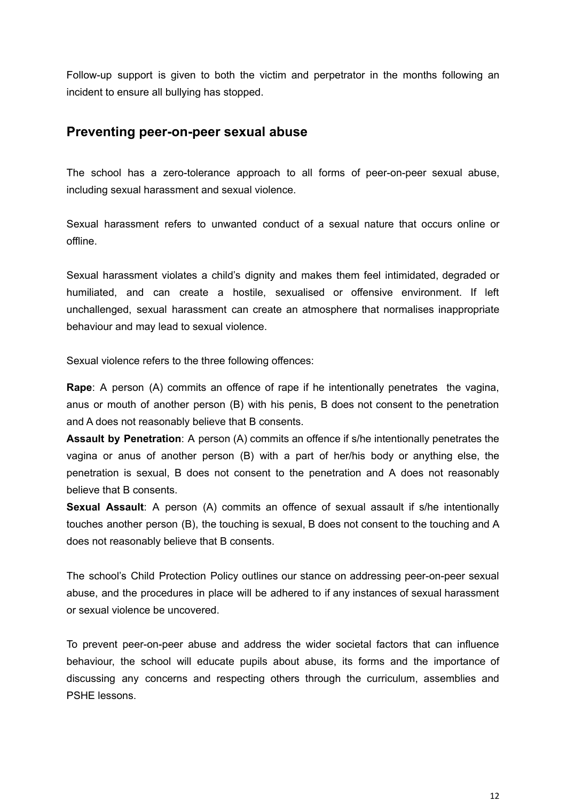Follow-up support is given to both the victim and perpetrator in the months following an incident to ensure all bullying has stopped.

## **Preventing peer-on-peer sexual abuse**

The school has a zero-tolerance approach to all forms of peer-on-peer sexual abuse, including sexual harassment and sexual violence.

Sexual harassment refers to unwanted conduct of a sexual nature that occurs online or offline.

Sexual harassment violates a child's dignity and makes them feel intimidated, degraded or humiliated, and can create a hostile, sexualised or offensive environment. If left unchallenged, sexual harassment can create an atmosphere that normalises inappropriate behaviour and may lead to sexual violence.

Sexual violence refers to the three following offences:

**Rape**: A person (A) commits an offence of rape if he intentionally penetrates the vagina, anus or mouth of another person (B) with his penis, B does not consent to the penetration and A does not reasonably believe that B consents.

**Assault by Penetration**: A person (A) commits an offence if s/he intentionally penetrates the vagina or anus of another person (B) with a part of her/his body or anything else, the penetration is sexual, B does not consent to the penetration and A does not reasonably believe that B consents.

**Sexual Assault**: A person (A) commits an offence of sexual assault if s/he intentionally touches another person (B), the touching is sexual, B does not consent to the touching and A does not reasonably believe that B consents.

The school's Child Protection Policy outlines our stance on addressing peer-on-peer sexual abuse, and the procedures in place will be adhered to if any instances of sexual harassment or sexual violence be uncovered.

To prevent peer-on-peer abuse and address the wider societal factors that can influence behaviour, the school will educate pupils about abuse, its forms and the importance of discussing any concerns and respecting others through the curriculum, assemblies and PSHE lessons.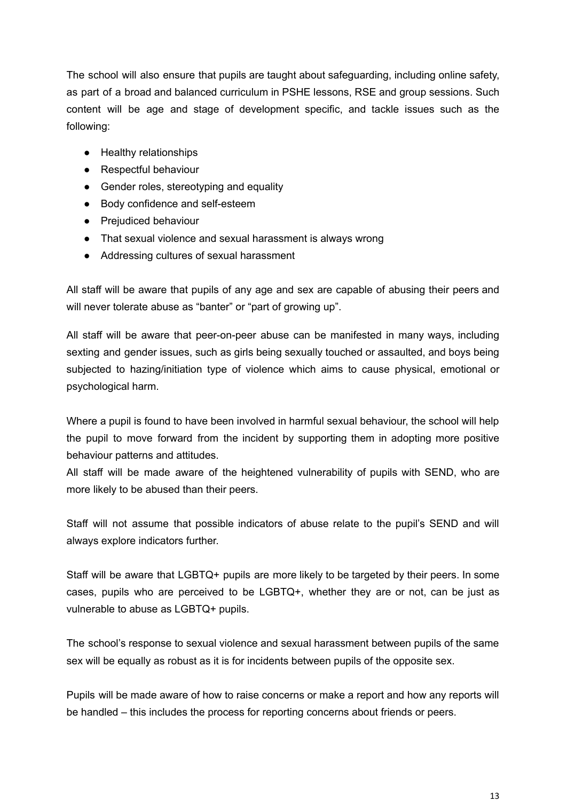The school will also ensure that pupils are taught about safeguarding, including online safety, as part of a broad and balanced curriculum in PSHE lessons, RSE and group sessions. Such content will be age and stage of development specific, and tackle issues such as the following:

- Healthy relationships
- Respectful behaviour
- Gender roles, stereotyping and equality
- Body confidence and self-esteem
- Prejudiced behaviour
- That sexual violence and sexual harassment is always wrong
- Addressing cultures of sexual harassment

All staff will be aware that pupils of any age and sex are capable of abusing their peers and will never tolerate abuse as "banter" or "part of growing up".

All staff will be aware that peer-on-peer abuse can be manifested in many ways, including sexting and gender issues, such as girls being sexually touched or assaulted, and boys being subjected to hazing/initiation type of violence which aims to cause physical, emotional or psychological harm.

Where a pupil is found to have been involved in harmful sexual behaviour, the school will help the pupil to move forward from the incident by supporting them in adopting more positive behaviour patterns and attitudes.

All staff will be made aware of the heightened vulnerability of pupils with SEND, who are more likely to be abused than their peers.

Staff will not assume that possible indicators of abuse relate to the pupil's SEND and will always explore indicators further.

Staff will be aware that LGBTQ+ pupils are more likely to be targeted by their peers. In some cases, pupils who are perceived to be LGBTQ+, whether they are or not, can be just as vulnerable to abuse as LGBTQ+ pupils.

The school's response to sexual violence and sexual harassment between pupils of the same sex will be equally as robust as it is for incidents between pupils of the opposite sex.

Pupils will be made aware of how to raise concerns or make a report and how any reports will be handled – this includes the process for reporting concerns about friends or peers.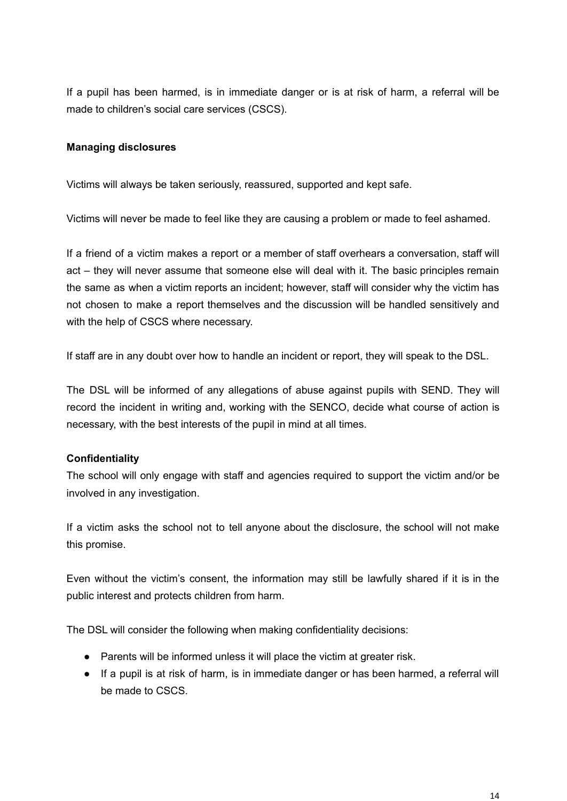If a pupil has been harmed, is in immediate danger or is at risk of harm, a referral will be made to children's social care services (CSCS).

### **Managing disclosures**

Victims will always be taken seriously, reassured, supported and kept safe.

Victims will never be made to feel like they are causing a problem or made to feel ashamed.

If a friend of a victim makes a report or a member of staff overhears a conversation, staff will act – they will never assume that someone else will deal with it. The basic principles remain the same as when a victim reports an incident; however, staff will consider why the victim has not chosen to make a report themselves and the discussion will be handled sensitively and with the help of CSCS where necessary.

If staff are in any doubt over how to handle an incident or report, they will speak to the DSL.

The DSL will be informed of any allegations of abuse against pupils with SEND. They will record the incident in writing and, working with the SENCO, decide what course of action is necessary, with the best interests of the pupil in mind at all times.

### **Confidentiality**

The school will only engage with staff and agencies required to support the victim and/or be involved in any investigation.

If a victim asks the school not to tell anyone about the disclosure, the school will not make this promise.

Even without the victim's consent, the information may still be lawfully shared if it is in the public interest and protects children from harm.

The DSL will consider the following when making confidentiality decisions:

- Parents will be informed unless it will place the victim at greater risk.
- If a pupil is at risk of harm, is in immediate danger or has been harmed, a referral will be made to CSCS.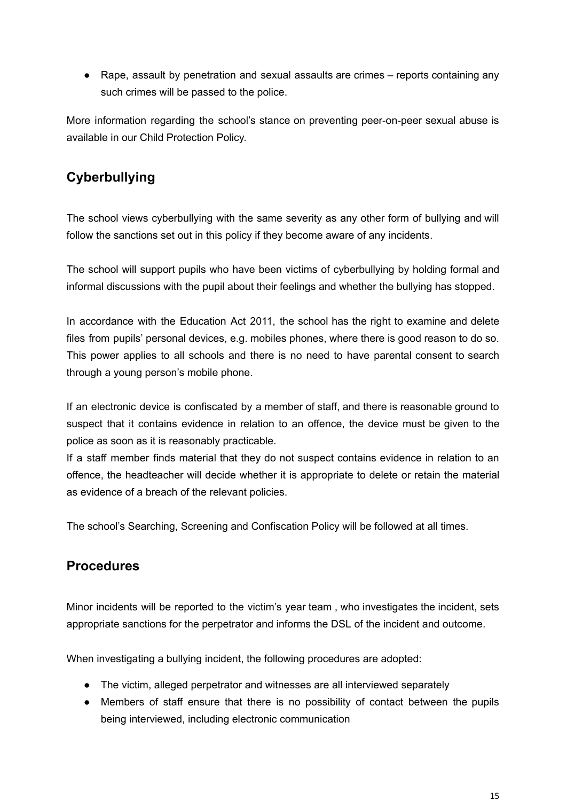• Rape, assault by penetration and sexual assaults are crimes – reports containing any such crimes will be passed to the police.

More information regarding the school's stance on preventing peer-on-peer sexual abuse is available in our Child Protection Policy.

# **Cyberbullying**

The school views cyberbullying with the same severity as any other form of bullying and will follow the sanctions set out in this policy if they become aware of any incidents.

The school will support pupils who have been victims of cyberbullying by holding formal and informal discussions with the pupil about their feelings and whether the bullying has stopped.

In accordance with the Education Act 2011, the school has the right to examine and delete files from pupils' personal devices, e.g. mobiles phones, where there is good reason to do so. This power applies to all schools and there is no need to have parental consent to search through a young person's mobile phone.

If an electronic device is confiscated by a member of staff, and there is reasonable ground to suspect that it contains evidence in relation to an offence, the device must be given to the police as soon as it is reasonably practicable.

If a staff member finds material that they do not suspect contains evidence in relation to an offence, the headteacher will decide whether it is appropriate to delete or retain the material as evidence of a breach of the relevant policies.

The school's Searching, Screening and Confiscation Policy will be followed at all times.

## **Procedures**

Minor incidents will be reported to the victim's year team , who investigates the incident, sets appropriate sanctions for the perpetrator and informs the DSL of the incident and outcome.

When investigating a bullying incident, the following procedures are adopted:

- The victim, alleged perpetrator and witnesses are all interviewed separately
- Members of staff ensure that there is no possibility of contact between the pupils being interviewed, including electronic communication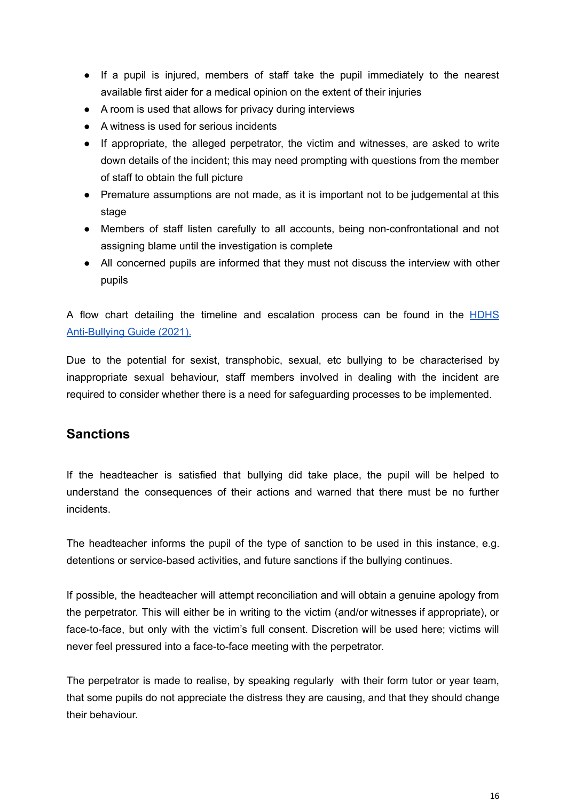- If a pupil is injured, members of staff take the pupil immediately to the nearest available first aider for a medical opinion on the extent of their injuries
- A room is used that allows for privacy during interviews
- A witness is used for serious incidents
- If appropriate, the alleged perpetrator, the victim and witnesses, are asked to write down details of the incident; this may need prompting with questions from the member of staff to obtain the full picture
- Premature assumptions are not made, as it is important not to be judgemental at this stage
- Members of staff listen carefully to all accounts, being non-confrontational and not assigning blame until the investigation is complete
- All concerned pupils are informed that they must not discuss the interview with other pupils

A flow chart detailing the timeline and escalation process can be found in the **[HDHS](https://hdhs.org.uk/wp-content/uploads/2021/04/HDHS-Anti-Bullying-Guide-Updated-March-2021.pdf)** [Anti-Bullying](https://hdhs.org.uk/wp-content/uploads/2021/04/HDHS-Anti-Bullying-Guide-Updated-March-2021.pdf) Guide (2021).

Due to the potential for sexist, transphobic, sexual, etc bullying to be characterised by inappropriate sexual behaviour, staff members involved in dealing with the incident are required to consider whether there is a need for safeguarding processes to be implemented.

## **Sanctions**

If the headteacher is satisfied that bullying did take place, the pupil will be helped to understand the consequences of their actions and warned that there must be no further incidents.

The headteacher informs the pupil of the type of sanction to be used in this instance, e.g. detentions or service-based activities, and future sanctions if the bullying continues.

If possible, the headteacher will attempt reconciliation and will obtain a genuine apology from the perpetrator. This will either be in writing to the victim (and/or witnesses if appropriate), or face-to-face, but only with the victim's full consent. Discretion will be used here; victims will never feel pressured into a face-to-face meeting with the perpetrator.

The perpetrator is made to realise, by speaking regularly with their form tutor or year team, that some pupils do not appreciate the distress they are causing, and that they should change their behaviour.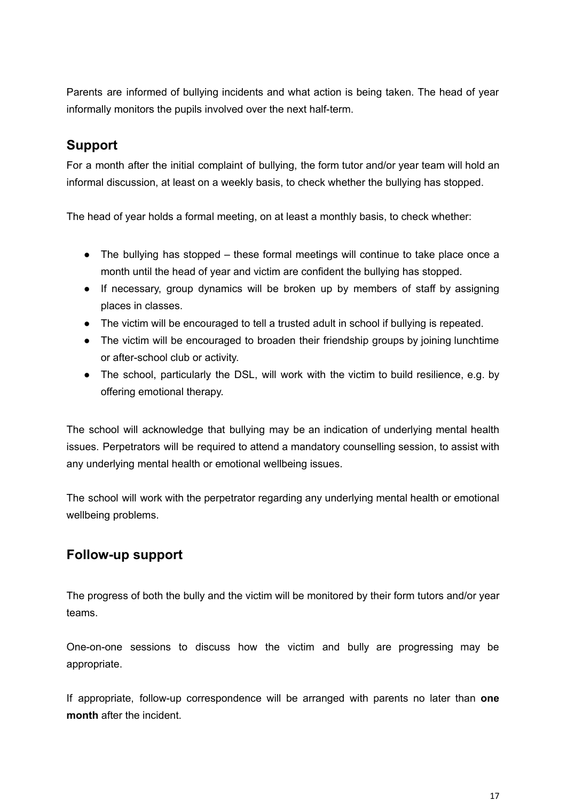Parents are informed of bullying incidents and what action is being taken. The head of year informally monitors the pupils involved over the next half-term.

# **Support**

For a month after the initial complaint of bullying, the form tutor and/or year team will hold an informal discussion, at least on a weekly basis, to check whether the bullying has stopped.

The head of year holds a formal meeting, on at least a monthly basis, to check whether:

- The bullying has stopped these formal meetings will continue to take place once a month until the head of year and victim are confident the bullying has stopped.
- If necessary, group dynamics will be broken up by members of staff by assigning places in classes.
- The victim will be encouraged to tell a trusted adult in school if bullying is repeated.
- The victim will be encouraged to broaden their friendship groups by joining lunchtime or after-school club or activity.
- The school, particularly the DSL, will work with the victim to build resilience, e.g. by offering emotional therapy.

The school will acknowledge that bullying may be an indication of underlying mental health issues. Perpetrators will be required to attend a mandatory counselling session, to assist with any underlying mental health or emotional wellbeing issues.

The school will work with the perpetrator regarding any underlying mental health or emotional wellbeing problems.

## **Follow-up support**

The progress of both the bully and the victim will be monitored by their form tutors and/or year teams.

One-on-one sessions to discuss how the victim and bully are progressing may be appropriate.

If appropriate, follow-up correspondence will be arranged with parents no later than **one month** after the incident.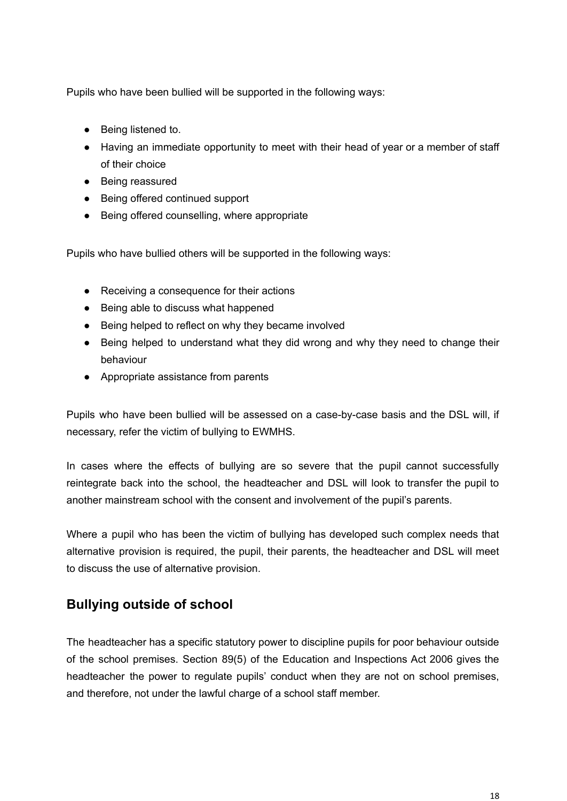Pupils who have been bullied will be supported in the following ways:

- Being listened to.
- Having an immediate opportunity to meet with their head of year or a member of staff of their choice
- Being reassured
- Being offered continued support
- Being offered counselling, where appropriate

Pupils who have bullied others will be supported in the following ways:

- Receiving a consequence for their actions
- Being able to discuss what happened
- Being helped to reflect on why they became involved
- Being helped to understand what they did wrong and why they need to change their behaviour
- Appropriate assistance from parents

Pupils who have been bullied will be assessed on a case-by-case basis and the DSL will, if necessary, refer the victim of bullying to EWMHS.

In cases where the effects of bullying are so severe that the pupil cannot successfully reintegrate back into the school, the headteacher and DSL will look to transfer the pupil to another mainstream school with the consent and involvement of the pupil's parents.

Where a pupil who has been the victim of bullying has developed such complex needs that alternative provision is required, the pupil, their parents, the headteacher and DSL will meet to discuss the use of alternative provision.

## **Bullying outside of school**

The headteacher has a specific statutory power to discipline pupils for poor behaviour outside of the school premises. Section 89(5) of the Education and Inspections Act 2006 gives the headteacher the power to regulate pupils' conduct when they are not on school premises, and therefore, not under the lawful charge of a school staff member.